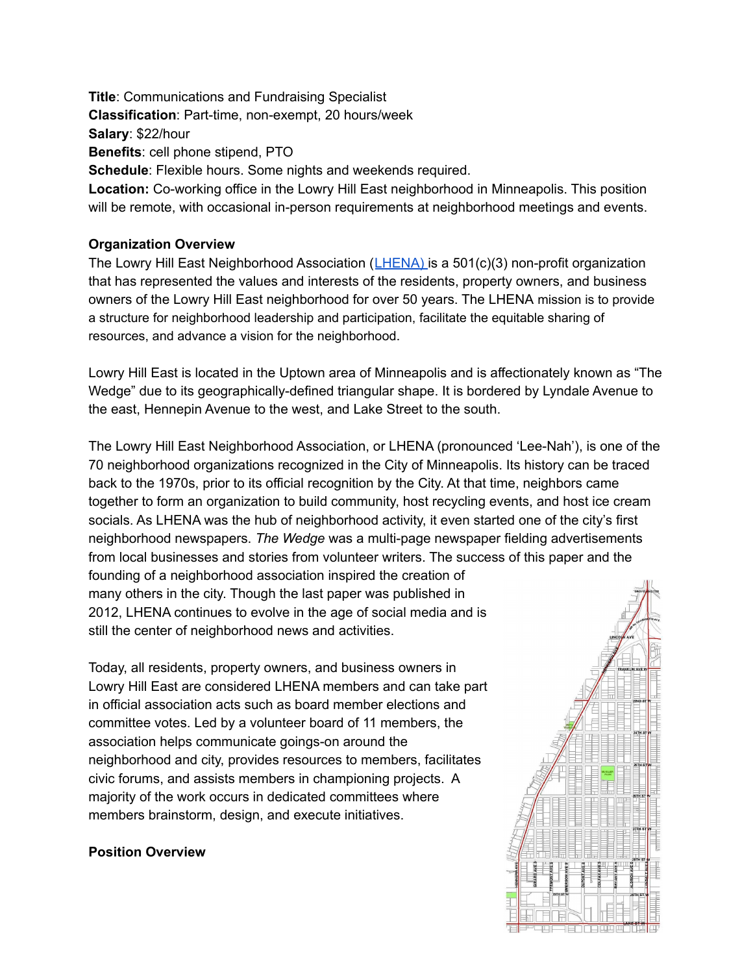**Title**: Communications and Fundraising Specialist **Classification**: Part-time, non-exempt, 20 hours/week **Salary**: \$22/hour **Benefits**: cell phone stipend, PTO **Schedule**: Flexible hours. Some nights and weekends required. **Location:** Co-working office in the Lowry Hill East neighborhood in Minneapolis. This position will be remote, with occasional in-person requirements at neighborhood meetings and events.

#### **Organization Overview**

The Lowry Hill East Neighborhood Association ([LHENA\)](https://www.thewedge.org/) is a 501(c)(3) non-profit organization that has represented the values and interests of the residents, property owners, and business owners of the Lowry Hill East neighborhood for over 50 years. The LHENA mission is to provide a structure for neighborhood leadership and participation, facilitate the equitable sharing of resources, and advance a vision for the neighborhood.

Lowry Hill East is located in the Uptown area of Minneapolis and is affectionately known as "The Wedge" due to its geographically-defined triangular shape. It is bordered by Lyndale Avenue to the east, Hennepin Avenue to the west, and Lake Street to the south.

The Lowry Hill East Neighborhood Association, or LHENA (pronounced 'Lee-Nah'), is one of the 70 neighborhood organizations recognized in the City of Minneapolis. Its history can be traced back to the 1970s, prior to its official recognition by the City. At that time, neighbors came together to form an organization to build community, host recycling events, and host ice cream socials. As LHENA was the hub of neighborhood activity, it even started one of the city's first neighborhood newspapers. *The Wedge* was a multi-page newspaper fielding advertisements from local businesses and stories from volunteer writers. The success of this paper and the founding of a neighborhood association inspired the creation of many others in the city. Though the last paper was published in 2012, LHENA continues to evolve in the age of social media and is still the center of neighborhood news and activities.

Today, all residents, property owners, and business owners in Lowry Hill East are considered LHENA members and can take part in official association acts such as board member elections and committee votes. Led by a volunteer board of 11 members, the association helps communicate goings-on around the neighborhood and city, provides resources to members, facilitates civic forums, and assists members in championing projects. A majority of the work occurs in dedicated committees where members brainstorm, design, and execute initiatives.

#### **Position Overview**

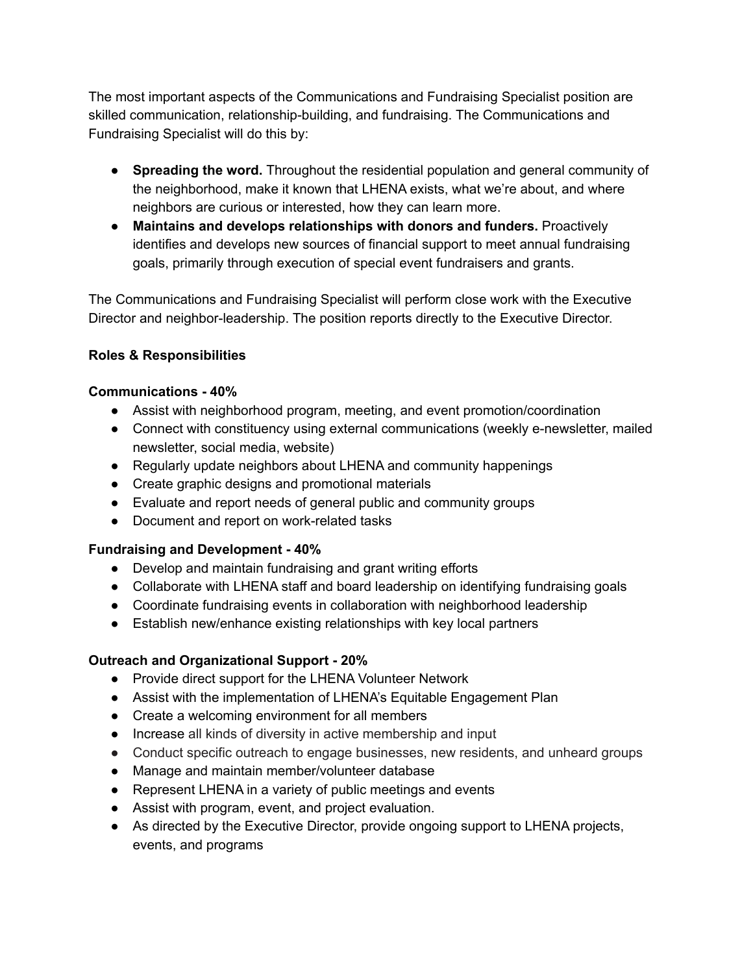The most important aspects of the Communications and Fundraising Specialist position are skilled communication, relationship-building, and fundraising. The Communications and Fundraising Specialist will do this by:

- **Spreading the word.** Throughout the residential population and general community of the neighborhood, make it known that LHENA exists, what we're about, and where neighbors are curious or interested, how they can learn more.
- **Maintains and develops relationships with donors and funders.** Proactively identifies and develops new sources of financial support to meet annual fundraising goals, primarily through execution of special event fundraisers and grants.

The Communications and Fundraising Specialist will perform close work with the Executive Director and neighbor-leadership. The position reports directly to the Executive Director.

# **Roles & Responsibilities**

# **Communications - 40%**

- Assist with neighborhood program, meeting, and event promotion/coordination
- Connect with constituency using external communications (weekly e-newsletter, mailed newsletter, social media, website)
- Regularly update neighbors about LHENA and community happenings
- Create graphic designs and promotional materials
- Evaluate and report needs of general public and community groups
- Document and report on work-related tasks

# **Fundraising and Development - 40%**

- Develop and maintain fundraising and grant writing efforts
- Collaborate with LHENA staff and board leadership on identifying fundraising goals
- Coordinate fundraising events in collaboration with neighborhood leadership
- Establish new/enhance existing relationships with key local partners

# **Outreach and Organizational Support - 20%**

- Provide direct support for the LHENA Volunteer Network
- Assist with the implementation of LHENA's Equitable Engagement Plan
- Create a welcoming environment for all members
- Increase all kinds of diversity in active membership and input
- Conduct specific outreach to engage businesses, new residents, and unheard groups
- Manage and maintain member/volunteer database
- Represent LHENA in a variety of public meetings and events
- Assist with program, event, and project evaluation.
- As directed by the Executive Director, provide ongoing support to LHENA projects, events, and programs